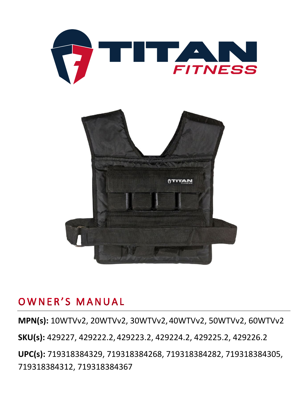



## OWNER'S MANUAL

**MPN(s):** 10WTVv2, 20WTVv2, 30WTVv2, 40WTVv2, 50WTVv2, 60WTVv2

**SKU(s):** 429227, 429222.2, 429223.2, 429224.2, 429225.2, 429226.2

**UPC(s):** 719318384329, 719318384268, 719318384282, 719318384305, 719318384312, 719318384367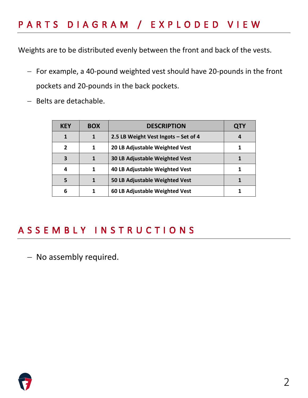## PARTS DIAGRAM / EXPLODED VIEW

Weights are to be distributed evenly between the front and back of the vests.

- − For example, a 40-pound weighted vest should have 20-pounds in the front pockets and 20-pounds in the back pockets.
- − Belts are detachable.

| <b>KEY</b>    | <b>BOX</b> | <b>DESCRIPTION</b>                    | QIY |
|---------------|------------|---------------------------------------|-----|
| 1             | 1          | 2.5 LB Weight Vest Ingots - Set of 4  | 4   |
| $\mathfrak z$ | 1          | 20 LB Adjustable Weighted Vest        |     |
| 3             | 1          | <b>30 LB Adjustable Weighted Vest</b> |     |
| 4             |            | 40 LB Adjustable Weighted Vest        |     |
| 5             |            | 50 LB Adjustable Weighted Vest        |     |
| 6             |            | 60 LB Adjustable Weighted Vest        |     |

### ASSEMBLY INSTRUCTIONS

− No assembly required.